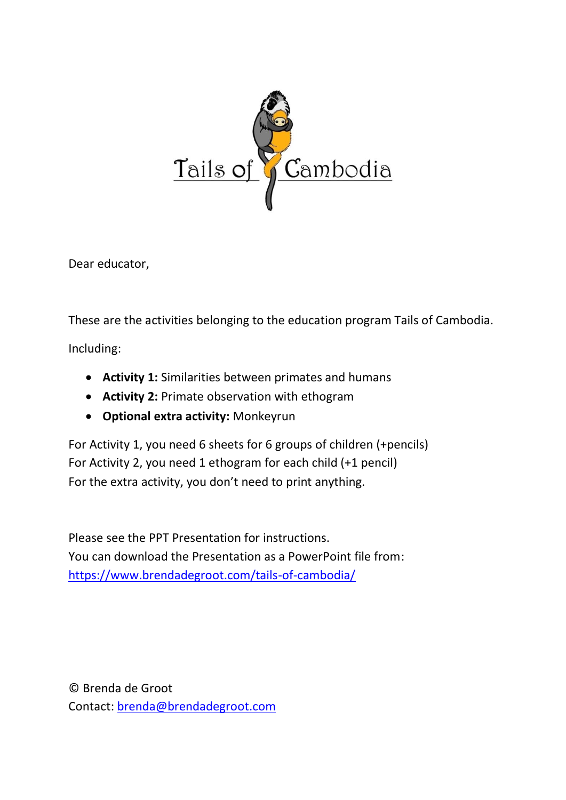

Dear educator,

These are the activities belonging to the education program Tails of Cambodia.

Including:

- **Activity 1:** Similarities between primates and humans
- **Activity 2:** Primate observation with ethogram
- **Optional extra activity:** Monkeyrun

For Activity 1, you need 6 sheets for 6 groups of children (+pencils) For Activity 2, you need 1 ethogram for each child (+1 pencil) For the extra activity, you don't need to print anything.

Please see the PPT Presentation for instructions. You can download the Presentation as a PowerPoint file from: <https://www.brendadegroot.com/tails-of-cambodia/>

© Brenda de Groot Contact: [brenda@brendadegroot.com](mailto:brenda@brendadegroot.com)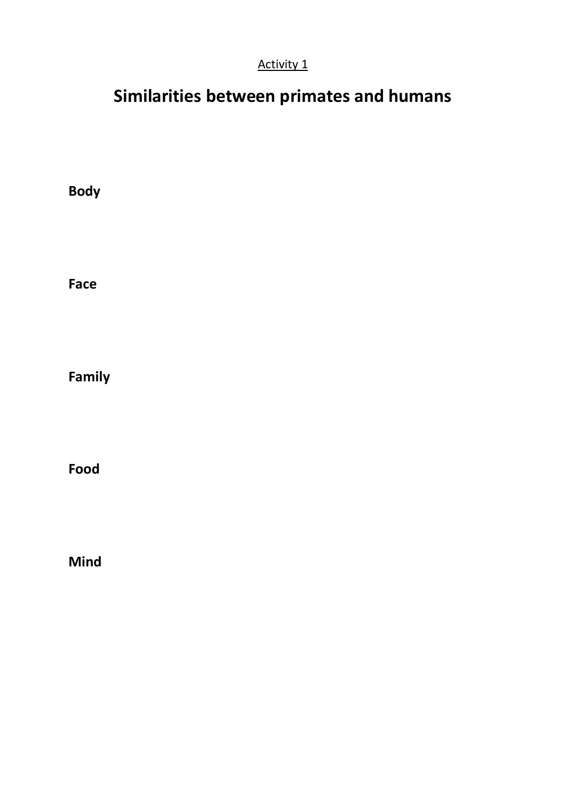### Activity 1

# **Similarities between primates and humans**

**Body Face Family**

**Food**

**Mind**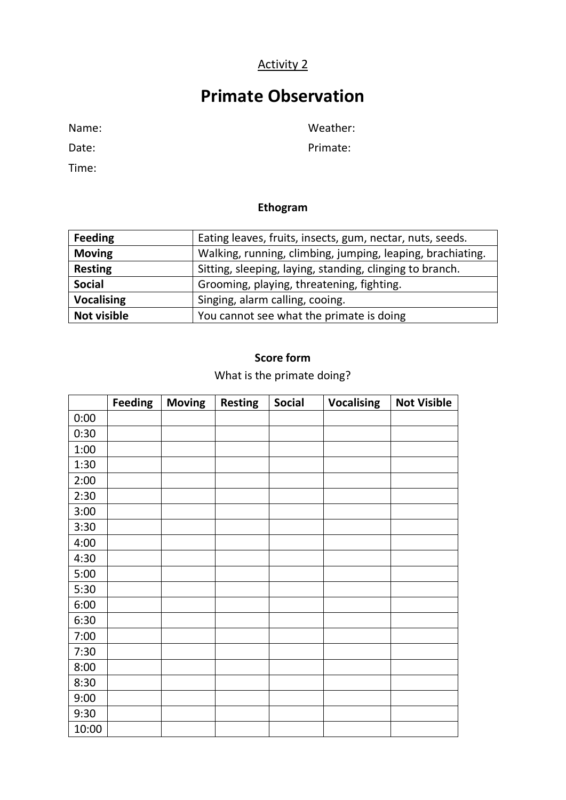### Activity 2

## **Primate Observation**

Time:

Date: Primate:

#### **Ethogram**

| <b>Feeding</b>     | Eating leaves, fruits, insects, gum, nectar, nuts, seeds.  |  |  |  |
|--------------------|------------------------------------------------------------|--|--|--|
| <b>Moving</b>      | Walking, running, climbing, jumping, leaping, brachiating. |  |  |  |
| <b>Resting</b>     | Sitting, sleeping, laying, standing, clinging to branch.   |  |  |  |
| <b>Social</b>      | Grooming, playing, threatening, fighting.                  |  |  |  |
| <b>Vocalising</b>  | Singing, alarm calling, cooing.                            |  |  |  |
| <b>Not visible</b> | You cannot see what the primate is doing                   |  |  |  |

#### **Score form**

What is the primate doing?

|       | <b>Feeding</b> | <b>Moving</b> | <b>Resting</b> | <b>Social</b> | <b>Vocalising</b> | <b>Not Visible</b> |
|-------|----------------|---------------|----------------|---------------|-------------------|--------------------|
| 0:00  |                |               |                |               |                   |                    |
| 0:30  |                |               |                |               |                   |                    |
| 1:00  |                |               |                |               |                   |                    |
| 1:30  |                |               |                |               |                   |                    |
| 2:00  |                |               |                |               |                   |                    |
| 2:30  |                |               |                |               |                   |                    |
| 3:00  |                |               |                |               |                   |                    |
| 3:30  |                |               |                |               |                   |                    |
| 4:00  |                |               |                |               |                   |                    |
| 4:30  |                |               |                |               |                   |                    |
| 5:00  |                |               |                |               |                   |                    |
| 5:30  |                |               |                |               |                   |                    |
| 6:00  |                |               |                |               |                   |                    |
| 6:30  |                |               |                |               |                   |                    |
| 7:00  |                |               |                |               |                   |                    |
| 7:30  |                |               |                |               |                   |                    |
| 8:00  |                |               |                |               |                   |                    |
| 8:30  |                |               |                |               |                   |                    |
| 9:00  |                |               |                |               |                   |                    |
| 9:30  |                |               |                |               |                   |                    |
| 10:00 |                |               |                |               |                   |                    |

Name: Weather: